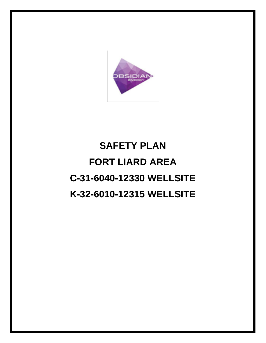

# **SAFETY PLAN FORT LIARD AREA C-31-6040-12330 WELLSITE K-32-6010-12315 WELLSITE**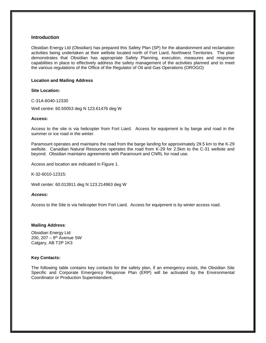#### **Introduction**

Obsidian Energy Ltd (Obsidian) has prepared this Safety Plan (SP) for the abandonment and reclamation activities being undertaken at their wellsite located north of Fort Liard, Northwest Territories. The plan demonstrates that Obsidian has appropriate Safety Planning, execution, measures and response capabilities in place to effectively address the safety management of the activities planned and to meet the various regulations of the Office of the Regulator of Oil and Gas Operations (OROGO)

#### **Location and Mailing Address**

#### **Site Location:**

C-31A-6040-12330

Well centre: 60.50053 deg N 123.61476 deg W

#### **Access:**

Access to the site is via helicopter from Fort Liard. Access for equipment is by barge and road in the summer or ice road in the winter.

Paramount operates and maintains the road from the barge landing for approximately 29.5 km to the K-29 wellsite. Canadian Natural Resources operates the road from K-29 for 2.5km to the C-31 wellsite and beyond. Obsidian maintains agreements with Paramount and CNRL for road use.

Access and location are indicated in Figure 1.

K-32-6010-12315:

Well center: 60.013911 deg N 123.214963 deg W

#### *Access:*

Access to the Site is via helicopter from Fort Liard. Access for equipment is by winter access road.

#### **Mailing Address**:

Obsidian Energy Ltd 200, 207 – 9<sup>th</sup> Avenue SW Calgary, AB T2P 1K3

#### **Key Contacts:**

The following table contains key contacts for the safety plan, if an emergency exists, the Obsidian Site Specific and Corporate Emergency Response Plan (ERP) will be activated by the Environmental Coordinator or Production Superintendent.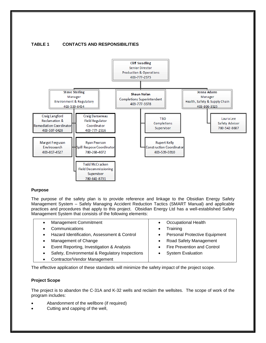

# **TABLE 1 CONTACTS AND RESPONSIBILITIES**

#### **Purpose**

The purpose of the safety plan is to provide reference and linkage to the Obsidian Energy Safety Management System – Safely Managing Accident Reduction Tactics (SMART Manual) and applicable practices and procedures that apply to this project. Obsidian Energy Ltd has a well-established Safety Management System that consists of the following elements:

| <b>Management Commitment</b>                   |           | <b>Occupational Health</b>           |
|------------------------------------------------|-----------|--------------------------------------|
| Communications                                 |           | Training                             |
| Hazard Identification, Assessment & Control    | $\bullet$ | <b>Personal Protective Equipment</b> |
| Management of Change                           |           | <b>Road Safety Management</b>        |
| Event Reporting, Investigation & Analysis      |           | Fire Prevention and Control          |
| Safety, Environmental & Regulatory Inspections |           | <b>System Evaluation</b>             |

Contractor/Vendor Management

The effective application of these standards will minimize the safety impact of the project scope.

#### **Project Scope**

The project is to abandon the C-31A and K-32 wells and reclaim the wellsites. The scope of work of the program includes:

- Abandonment of the wellbore (if required)
- Cutting and capping of the well,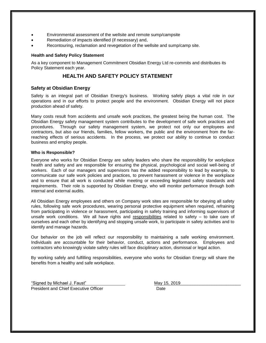- Environmental assessment of the wellsite and remote sump/campsite
- Remediation of impacts identified (if necessary) and,
- Recontouring, reclamation and revegetation of the wellsite and sump/camp site.

#### **Health and Safety Policy Statement**

As a key component to Management Commitment Obsidian Energy Ltd re-commits and distributes its Policy Statement each year.

# **HEALTH AND SAFETY POLICY STATEMENT**

### **Safety at Obsidian Energy**

Safety is an integral part of Obsidian Energy's business. Working safely plays a vital role in our operations and in our efforts to protect people and the environment. Obsidian Energy will not place production ahead of safety.

Many costs result from accidents and unsafe work practices, the greatest being the human cost. The Obsidian Energy safety management system contributes to the development of safe work practices and procedures. Through our safety management system, we protect not only our employees and contractors, but also our friends, families, fellow workers, the public and the environment from the farreaching effects of serious accidents. In the process, we protect our ability to continue to conduct business and employ people.

#### **Who is Responsible?**

Everyone who works for Obsidian Energy are safety leaders who share the responsibility for workplace health and safety and are responsible for ensuring the physical, psychological and social well-being of workers. Each of our managers and supervisors has the added responsibility to lead by example, to communicate our safe work policies and practices, to prevent harassment or violence in the workplace and to ensure that all work is conducted while meeting or exceeding legislated safety standards and requirements. Their role is supported by Obsidian Energy, who will monitor performance through both internal and external audits.

All Obsidian Energy employees and others on Company work sites are responsible for obeying all safety rules, following safe work procedures, wearing personal protective equipment when required, refraining from participating in violence or harassment, participating in safety training and informing supervisors of unsafe work conditions. We all have rights and responsibilities related to safety - to take care of ourselves and each other by identifying and stopping unsafe work, to participate in safety activities and to identify and manage hazards.

Our behavior on the job will reflect our responsibility to maintaining a safe working environment. Individuals are accountable for their behavior, conduct, actions and performance. Employees and contractors who knowingly violate safety rules will face disciplinary action, dismissal or legal action.

By working safely and fulfilling responsibilities, everyone who works for Obsidian Energy will share the benefits from a healthy and safe workplace.

"Signed by Michael J. Faust" May 15, 2019 President and Chief Executive Officer **Date** Date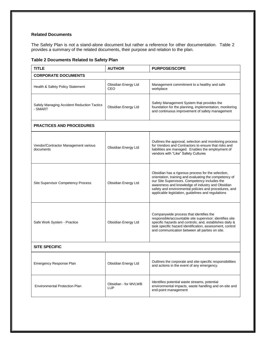#### **Related Documents**

The Safety Plan is not a stand-alone document but rather a reference for other documentation. Table 2 provides a summary of the related documents, their purpose and relation to the plan.

**Table 2 Documents Related to Safety Plan** 

| <b>TITLE</b>                                          | <b>AUTHOR</b>                      | <b>PURPOSE/SCOPE</b>                                                                                                                                                                                                                                                                                                             |  |  |
|-------------------------------------------------------|------------------------------------|----------------------------------------------------------------------------------------------------------------------------------------------------------------------------------------------------------------------------------------------------------------------------------------------------------------------------------|--|--|
| <b>CORPORATE DOCUMENTS</b>                            |                                    |                                                                                                                                                                                                                                                                                                                                  |  |  |
| Health & Safety Policy Statement                      | Obsidian Energy Ltd<br>CEO         | Management commitment to a healthy and safe<br>workplace                                                                                                                                                                                                                                                                         |  |  |
| Safely Managing Accident Reduction Tactics<br>- SMART | Obsidian Energy Ltd                | Safety Management System that provides the<br>foundation for the planning, implementation, monitoring<br>and continuous improvement of safety management                                                                                                                                                                         |  |  |
| <b>PRACTICES AND PROCEDURES</b>                       |                                    |                                                                                                                                                                                                                                                                                                                                  |  |  |
| Vendor/Contractor Management various<br>documents     | Obsidian Energy Ltd                | Outlines the approval, selection and monitoring process<br>for Vendors and Contractors to ensure that risks and<br>liabilities are managed. Enables the employment of<br>vendors with "Like" Safety Cultures                                                                                                                     |  |  |
| <b>Site Supervisor Competency Process</b>             | Obsidian Energy Ltd                | Obsidian has a rigorous process for the selection,<br>orientation, training and evaluating the competency of<br>our Site Supervisors. Competency includes the<br>awareness and knowledge of industry and Obsidian<br>safety and environmental policies and procedures, and<br>applicable legislation, guidelines and regulations |  |  |
| Safe Work System - Practice                           | Obsidian Energy Ltd                | Companywide process that identifies the<br>responsible/accountable site supervisor; identifies site<br>specific hazards and controls; and, establishes daily &<br>task specific hazard identification, assessment, control<br>and communication between all parties on site.                                                     |  |  |
| <b>SITE SPECIFIC</b>                                  |                                    |                                                                                                                                                                                                                                                                                                                                  |  |  |
| <b>Emergency Response Plan</b>                        | Obsidian Energy Ltd                | Outlines the corporate and site-specific responsibilities<br>and actions in the event of any emergency.                                                                                                                                                                                                                          |  |  |
| <b>Environmental Protection Plan</b>                  | Obsidian - for MVLWB<br><b>LUP</b> | Identifies potential waste streams, potential<br>environmental impacts, waste handling and on-site and<br>end-point management                                                                                                                                                                                                   |  |  |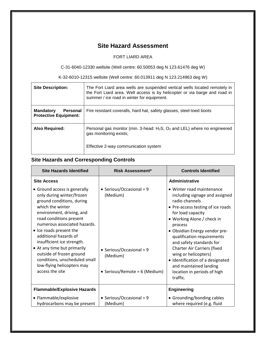# **Site Hazard Assessment**

# FORT LIARD AREA

C-31-6040-12330 wellsite (Well centre: 60.50053 deg N 123.61476 deg W)

K-32-6010-12315 wellsite (Well centre: 60.013911 deg N 123.214963 deg W)

| <b>Site Description:</b>                                     | The Fort Liard area wells are suspended vertical wells located remotely in<br>the Fort Liard area. Well access is by helicopter or via barge and road in<br>summer / ice road in winter for equipment. |
|--------------------------------------------------------------|--------------------------------------------------------------------------------------------------------------------------------------------------------------------------------------------------------|
| <b>Mandatory</b><br>Personal<br><b>Protective Equipment:</b> | Fire resistant coveralls, hard hat, safety glasses, steel-toed boots                                                                                                                                   |
| <b>Also Required:</b>                                        | Personal gas monitor (min. 3-head: $H_2S$ , $O_2$ and LEL) where no engineered<br>gas monitoring exists;<br>Effective 2-way communication system                                                       |

# **Site Hazards and Corresponding Controls**

| <b>Site Hazards Identified</b>                                                                                                                                                                                                                                                                                                                                                                                                    | <b>Risk Assessment*</b>                                                                                           | <b>Controls Identified</b>                                                                                                                                                                                                                                                                                                                                                                                                                  |
|-----------------------------------------------------------------------------------------------------------------------------------------------------------------------------------------------------------------------------------------------------------------------------------------------------------------------------------------------------------------------------------------------------------------------------------|-------------------------------------------------------------------------------------------------------------------|---------------------------------------------------------------------------------------------------------------------------------------------------------------------------------------------------------------------------------------------------------------------------------------------------------------------------------------------------------------------------------------------------------------------------------------------|
| <b>Site Access</b>                                                                                                                                                                                                                                                                                                                                                                                                                |                                                                                                                   | Administrative                                                                                                                                                                                                                                                                                                                                                                                                                              |
| • Ground access is generally<br>only during winter/frozen<br>ground conditions, during<br>which the winter<br>environment, driving, and<br>road conditions present<br>numerous associated hazards.<br>• Ice roads present the<br>additional hazards of<br>insufficient ice strength.<br>• At any time but primarily<br>outside of frozen ground<br>conditions, unscheduled small<br>low-flying helicopters may<br>access the site | • Serious/Occasional = $9$<br>(Medium)<br>• Serious/Occasional = $9$<br>(Medium)<br>• Serious/Remote = 6 (Medium) | • Winter road maintenance<br>including signage and assigned<br>radio channels<br>• Pre-access testing of ice roads<br>for load capacity<br>• Working Alone / check in<br>process<br>· Obsidian Energy vendor pre-<br>qualification requirements<br>and safety standards for<br>Charter Air Carriers (fixed<br>wing or helicopters)<br>· Identification of a designated<br>and maintained landing<br>location in periods of high<br>traffic. |
| <b>Flammable/Explosive Hazards</b>                                                                                                                                                                                                                                                                                                                                                                                                |                                                                                                                   | <b>Engineering</b>                                                                                                                                                                                                                                                                                                                                                                                                                          |
| • Flammable/explosive<br>hydrocarbons may be present                                                                                                                                                                                                                                                                                                                                                                              | • Serious/Occasional = $9$<br>(Medium)                                                                            | • Grounding/bonding cables<br>where required (e.g. fluid                                                                                                                                                                                                                                                                                                                                                                                    |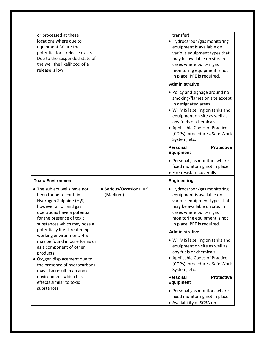| or processed at these<br>locations where due to<br>equipment failure the<br>potential for a release exists.<br>Due to the suspended state of<br>the well the likelihood of a<br>release is low                      |                                        | transfer)<br>• Hydrocarbon/gas monitoring<br>equipment is available on<br>various equipment types that<br>may be available on site. In<br>cases where built-in gas<br>monitoring equipment is not<br>in place, PPE is required.                                        |
|---------------------------------------------------------------------------------------------------------------------------------------------------------------------------------------------------------------------|----------------------------------------|------------------------------------------------------------------------------------------------------------------------------------------------------------------------------------------------------------------------------------------------------------------------|
|                                                                                                                                                                                                                     |                                        | Administrative                                                                                                                                                                                                                                                         |
|                                                                                                                                                                                                                     |                                        | • Policy and signage around no<br>smoking/flames on site except<br>in designated areas.<br>• WHMIS labelling on tanks and<br>equipment on site as well as<br>any fuels or chemicals<br>• Applicable Codes of Practice<br>(COPs), procedures, Safe Work<br>System, etc. |
|                                                                                                                                                                                                                     |                                        | <b>Personal</b><br><b>Protective</b><br><b>Equipment</b>                                                                                                                                                                                                               |
|                                                                                                                                                                                                                     |                                        | • Personal gas monitors where<br>fixed monitoring not in place<br>• Fire resistant coveralls                                                                                                                                                                           |
| <b>Toxic Environment</b>                                                                                                                                                                                            |                                        | <b>Engineering</b>                                                                                                                                                                                                                                                     |
| • The subject wells have not<br>been found to contain<br>Hydrogen Sulphide (H <sub>2</sub> S)<br>however all oil and gas<br>operations have a potential<br>for the presence of toxic<br>substances which may pose a | • Serious/Occasional = $9$<br>(Medium) | • Hydrocarbon/gas monitoring<br>equipment is available on<br>various equipment types that<br>may be available on site. In<br>cases where built-in gas<br>monitoring equipment is not<br>in place, PPE is required.                                                     |
| potentially life-threatening<br>working environment. H <sub>2</sub> S                                                                                                                                               |                                        | Administrative                                                                                                                                                                                                                                                         |
| may be found in pure forms or<br>as a component of other<br>products.<br>• Oxygen displacement due to<br>the presence of hydrocarbons<br>may also result in an anoxic                                               |                                        | • WHMIS labelling on tanks and<br>equipment on site as well as<br>any fuels or chemicals<br>• Applicable Codes of Practice<br>(COPs), procedures, Safe Work<br>System, etc.                                                                                            |
| environment which has<br>effects similar to toxic                                                                                                                                                                   |                                        | <b>Personal</b><br><b>Protective</b><br><b>Equipment</b>                                                                                                                                                                                                               |
| substances.                                                                                                                                                                                                         |                                        | • Personal gas monitors where<br>fixed monitoring not in place<br>• Availability of SCBA on                                                                                                                                                                            |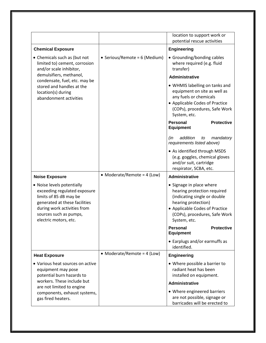|                                                                                                                                                                                                         |                               | location to support work or<br>potential rescue activities                                                                                                                                        |  |  |
|---------------------------------------------------------------------------------------------------------------------------------------------------------------------------------------------------------|-------------------------------|---------------------------------------------------------------------------------------------------------------------------------------------------------------------------------------------------|--|--|
| <b>Chemical Exposure</b>                                                                                                                                                                                |                               | <b>Engineering</b>                                                                                                                                                                                |  |  |
| • Chemicals such as (but not<br>limited to) cement, corrosion<br>and/or scale inhibitor,                                                                                                                | • Serious/Remote = 6 (Medium) | • Grounding/bonding cables<br>where required (e.g. fluid<br>transfer)                                                                                                                             |  |  |
| demulsifiers, methanol,<br>condensate, fuel, etc. may be                                                                                                                                                |                               | <b>Administrative</b>                                                                                                                                                                             |  |  |
| stored and handles at the<br>location(s) during<br>abandonment activities                                                                                                                               |                               | • WHMIS labelling on tanks and<br>equipment on site as well as<br>any fuels or chemicals<br>• Applicable Codes of Practice<br>(COPs), procedures, Safe Work<br>System, etc.                       |  |  |
|                                                                                                                                                                                                         |                               | Personal<br><b>Protective</b><br><b>Equipment</b>                                                                                                                                                 |  |  |
|                                                                                                                                                                                                         |                               | addition<br>(in<br>mandatory<br>to<br>requirements listed above)                                                                                                                                  |  |  |
|                                                                                                                                                                                                         |                               | • As identified through MSDS<br>(e.g. goggles, chemical gloves<br>and/or suit, cartridge<br>respirator, SCBA, etc.                                                                                |  |  |
| <b>Noise Exposure</b>                                                                                                                                                                                   | • Moderate/Remote = $4$ (Low) | <b>Administrative</b>                                                                                                                                                                             |  |  |
| • Noise levels potentially<br>exceeding regulated exposure<br>limits of 85 dB may be<br>generated at these facilities<br>during work activities from<br>sources such as pumps,<br>electric motors, etc. |                               | • Signage in place where<br>hearing protection required<br>(indicating single or double<br>hearing protection)<br>• Applicable Codes of Practice<br>(COPs), procedures, Safe Work<br>System, etc. |  |  |
|                                                                                                                                                                                                         |                               | <b>Personal</b><br><b>Protective</b><br><b>Equipment</b>                                                                                                                                          |  |  |
|                                                                                                                                                                                                         |                               | • Earplugs and/or earmuffs as<br>identified.                                                                                                                                                      |  |  |
| <b>Heat Exposure</b>                                                                                                                                                                                    | • Moderate/Remote = $4$ (Low) | <b>Engineering</b>                                                                                                                                                                                |  |  |
| • Various heat sources on active<br>equipment may pose<br>potential burn hazards to                                                                                                                     |                               | • Where possible a barrier to<br>radiant heat has been<br>installed on equipment.                                                                                                                 |  |  |
| workers. These include but<br>are not limited to engine                                                                                                                                                 |                               | <b>Administrative</b>                                                                                                                                                                             |  |  |
| components, exhaust systems,<br>gas fired heaters.                                                                                                                                                      |                               | • Where engineered barriers<br>are not possible, signage or<br>barricades will be erected to                                                                                                      |  |  |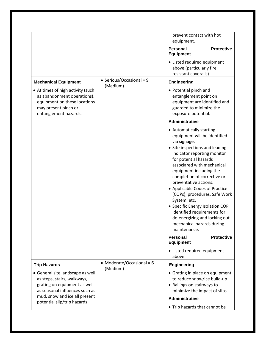|                                                                                                                                                   |                                         | prevent contact with hot<br>equipment.                                                                                                                                                                                                                                                                                                                                                                                                                                                                                 |                   |
|---------------------------------------------------------------------------------------------------------------------------------------------------|-----------------------------------------|------------------------------------------------------------------------------------------------------------------------------------------------------------------------------------------------------------------------------------------------------------------------------------------------------------------------------------------------------------------------------------------------------------------------------------------------------------------------------------------------------------------------|-------------------|
|                                                                                                                                                   |                                         | <b>Personal</b><br><b>Equipment</b>                                                                                                                                                                                                                                                                                                                                                                                                                                                                                    | <b>Protective</b> |
|                                                                                                                                                   |                                         | • Listed required equipment<br>above (particularly fire<br>resistant coveralls)                                                                                                                                                                                                                                                                                                                                                                                                                                        |                   |
| <b>Mechanical Equipment</b>                                                                                                                       | • Serious/Occasional = $9$<br>(Medium)  | <b>Engineering</b>                                                                                                                                                                                                                                                                                                                                                                                                                                                                                                     |                   |
| • At times of high activity (such<br>as abandonment operations),<br>equipment on these locations<br>may present pinch or<br>entanglement hazards. |                                         | • Potential pinch and<br>entanglement point on<br>equipment are identified and<br>guarded to minimize the<br>exposure potential.                                                                                                                                                                                                                                                                                                                                                                                       |                   |
|                                                                                                                                                   |                                         | <b>Administrative</b>                                                                                                                                                                                                                                                                                                                                                                                                                                                                                                  |                   |
|                                                                                                                                                   |                                         | • Automatically starting<br>equipment will be identified<br>via signage.<br>• Site inspections and leading<br>indicator reporting monitor<br>for potential hazards<br>associared with mechanical<br>equipment including the<br>completion of corrective or<br>preventative actions.<br>• Applicable Codes of Practice<br>(COPs), procedures, Safe Work<br>System, etc.<br>• Specific Energy Isolation COP<br>identified requirements for<br>de-energizing and locking out<br>mechanical hazards during<br>maintenance. |                   |
|                                                                                                                                                   |                                         | <b>Personal</b><br><b>Equipment</b>                                                                                                                                                                                                                                                                                                                                                                                                                                                                                    | <b>Protective</b> |
|                                                                                                                                                   |                                         | • Listed required equipment<br>above                                                                                                                                                                                                                                                                                                                                                                                                                                                                                   |                   |
| <b>Trip Hazards</b>                                                                                                                               | • Moderate/Occasional = $6$<br>(Medium) | <b>Engineering</b>                                                                                                                                                                                                                                                                                                                                                                                                                                                                                                     |                   |
| • General site landscape as well<br>as steps, stairs, walkways,<br>grating on equipment as well<br>as seasonal influences such as                 |                                         | • Grating in place on equipment<br>to reduce snow/ice build-up<br>• Railings on stairways to<br>minimize the impact of slips                                                                                                                                                                                                                                                                                                                                                                                           |                   |
| mud, snow and ice all present<br>potential slip/trip hazards                                                                                      |                                         | <b>Administrative</b>                                                                                                                                                                                                                                                                                                                                                                                                                                                                                                  |                   |
|                                                                                                                                                   |                                         | • Trip hazards that cannot be                                                                                                                                                                                                                                                                                                                                                                                                                                                                                          |                   |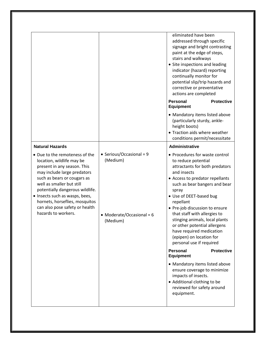|                                                                                                                                                                                                                                                                                                                                                                                 |                                                                                 | eliminated have been<br>addressed through specific<br>signage and bright contrasting<br>paint at the edge of steps,<br>stairs and walkways<br>• Site inspections and leading<br>indicator (hazard) reporting<br>continually monitor for<br>potential slip/trip hazards and<br>corrective or preventative<br>actions are completed<br><b>Personal</b><br><b>Protective</b>                                                                                                    |
|---------------------------------------------------------------------------------------------------------------------------------------------------------------------------------------------------------------------------------------------------------------------------------------------------------------------------------------------------------------------------------|---------------------------------------------------------------------------------|------------------------------------------------------------------------------------------------------------------------------------------------------------------------------------------------------------------------------------------------------------------------------------------------------------------------------------------------------------------------------------------------------------------------------------------------------------------------------|
|                                                                                                                                                                                                                                                                                                                                                                                 |                                                                                 | <b>Equipment</b><br>• Mandatory items listed above<br>(particularly sturdy, ankle-<br>height boots)<br>• Traction aids where weather<br>conditions permit/necessitate                                                                                                                                                                                                                                                                                                        |
| <b>Natural Hazards</b><br>• Due to the remoteness of the<br>location, wildlife may be<br>present in any season. This<br>may include large predators<br>such as bears or cougars as<br>well as smaller but still<br>potentially dangerous wildlife.<br>• Insects such as wasps, bees,<br>hornets, horseflies, mosquitos<br>can also pose safety or health<br>hazards to workers. | • Serious/Occasional = 9<br>(Medium)<br>• Moderate/Occasional = $6$<br>(Medium) | <b>Administrative</b><br>• Procedures for waste control<br>to reduce potential<br>attractants for both predators<br>and insects<br>• Access to predator repellants<br>such as bear bangers and bear<br>spray<br>• Use of DEET-based bug<br>repellant<br>• Pre-job discussion to ensure<br>that staff with allergies to<br>stinging animals, local plants<br>or other potential allergens<br>have required medication<br>(epipen) on location for<br>personal use if required |
|                                                                                                                                                                                                                                                                                                                                                                                 |                                                                                 | <b>Personal</b><br><b>Protective</b><br><b>Equipment</b><br>• Mandatory items listed above<br>ensure coverage to minimize<br>impacts of insects.<br>• Additional clothing to be<br>reviewed for safety around<br>equipment.                                                                                                                                                                                                                                                  |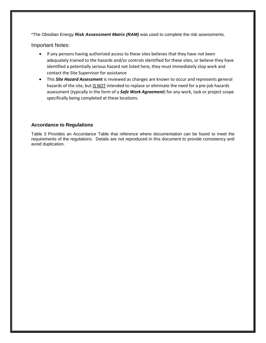\*The Obsidian Energy *Risk Assessment Matrix (RAM)* was used to complete the risk assessments.

Important Notes:

- If any persons having authorized access to these sites believes that they have not been adequately trained to the hazards and/or controls identified for these sites, or believe they have identified a potentially serious hazard not listed here, they must immediately stop work and contact the Site Supervisor for assistance
- This *Site Hazard Assessment* is reviewed as changes are known to occur and represents general hazards of the site, but IS NOT intended to replace or eliminate the need for a pre-job hazards assessment (typically in the form of a *Safe Work Agreement*) for any work, task or project scope specifically being completed at these locations.

# **Accordance to Regulations**

Table 3 Provides an Accordance Table that reference where documentation can be found to meet the requirements of the regulations. Details are not reproduced in this document to provide consistency and avoid duplication.